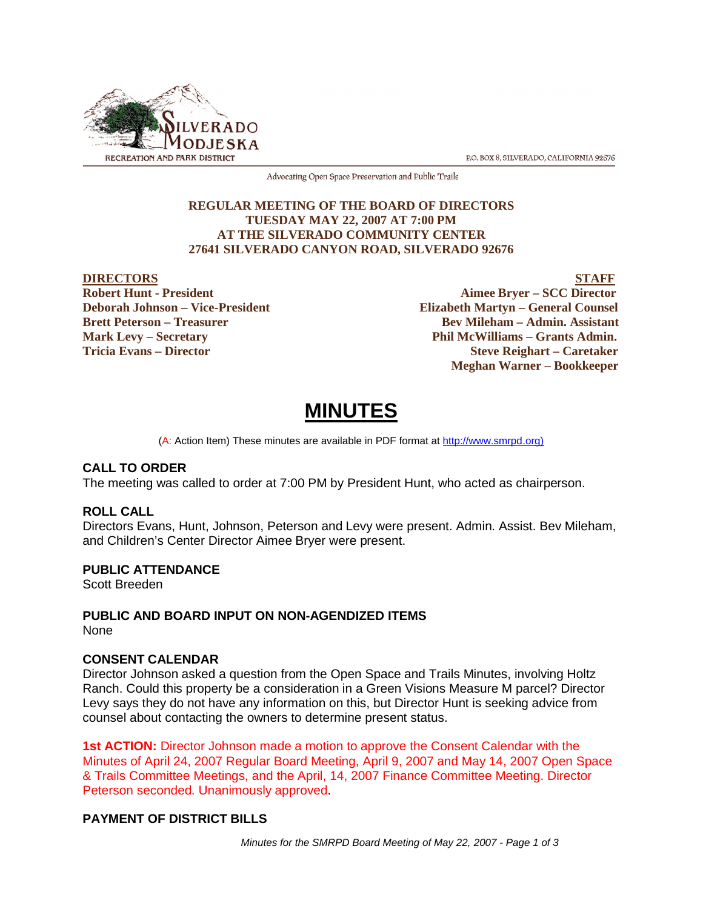

P.O. BOX 8, SILVERADO, CALIFORNIA 92676

Advocating Open Space Preservation and Public Trails

#### **REGULAR MEETING OF THE BOARD OF DIRECTORS TUESDAY MAY 22, 2007 AT 7:00 PM AT THE SILVERADO COMMUNITY CENTER 27641 SILVERADO CANYON ROAD, SILVERADO 92676**

EXTERNAL PROPERTY **DIRECTORS**<br>
Bobert Hunt - President Aimee Brver – SCC Director **Aimee Bryer – SCC Director Deborah Johnson – Vice-President Elizabeth Martyn – General Counsel Brett Peterson – Treasurer States and Bev Mileham – Admin. Assistant Mark Levy – Secretary Phil McWilliams – Grants Admin. Tricia Evans – Director Steve Reighart – Caretaker Meghan Warner – Bookkeeper**

# **MINUTES**

(A: Action Item) These minutes are available in PDF format at http://www.smrpd.org)

#### **CALL TO ORDER**

The meeting was called to order at 7:00 PM by President Hunt, who acted as chairperson.

#### **ROLL CALL**

Directors Evans, Hunt, Johnson, Peterson and Levy were present. Admin. Assist. Bev Mileham, and Children's Center Director Aimee Bryer were present.

#### **PUBLIC ATTENDANCE**

Scott Breeden

## **PUBLIC AND BOARD INPUT ON NON-AGENDIZED ITEMS**

None

#### **CONSENT CALENDAR**

Director Johnson asked a question from the Open Space and Trails Minutes, involving Holtz Ranch. Could this property be a consideration in a Green Visions Measure M parcel? Director Levy says they do not have any information on this, but Director Hunt is seeking advice from counsel about contacting the owners to determine present status.

**1st ACTION:** Director Johnson made a motion to approve the Consent Calendar with the Minutes of April 24, 2007 Regular Board Meeting, April 9, 2007 and May 14, 2007 Open Space & Trails Committee Meetings, and the April, 14, 2007 Finance Committee Meeting. Director Peterson seconded. Unanimously approved.

### **PAYMENT OF DISTRICT BILLS**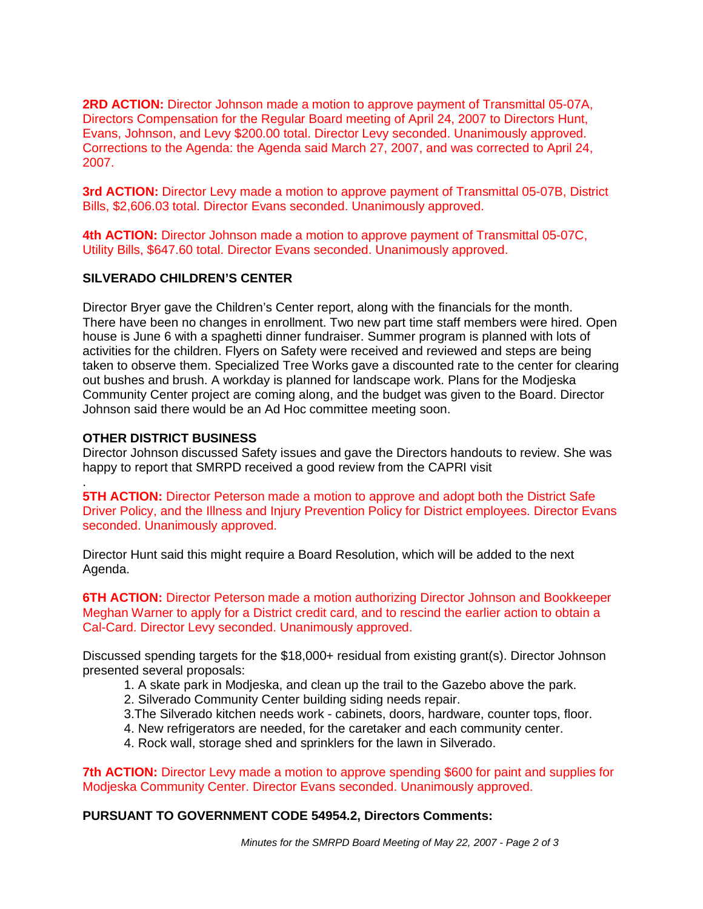**2RD ACTION:** Director Johnson made a motion to approve payment of Transmittal 05-07A, Directors Compensation for the Regular Board meeting of April 24, 2007 to Directors Hunt, Evans, Johnson, and Levy \$200.00 total. Director Levy seconded. Unanimously approved. Corrections to the Agenda: the Agenda said March 27, 2007, and was corrected to April 24, 2007.

**3rd ACTION:** Director Levy made a motion to approve payment of Transmittal 05-07B, District Bills, \$2,606.03 total. Director Evans seconded. Unanimously approved.

**4th ACTION:** Director Johnson made a motion to approve payment of Transmittal 05-07C, Utility Bills, \$647.60 total. Director Evans seconded. Unanimously approved.

#### **SILVERADO CHILDREN'S CENTER**

Director Bryer gave the Children's Center report, along with the financials for the month. There have been no changes in enrollment. Two new part time staff members were hired. Open house is June 6 with a spaghetti dinner fundraiser. Summer program is planned with lots of activities for the children. Flyers on Safety were received and reviewed and steps are being taken to observe them. Specialized Tree Works gave a discounted rate to the center for clearing out bushes and brush. A workday is planned for landscape work. Plans for the Modjeska Community Center project are coming along, and the budget was given to the Board. Director Johnson said there would be an Ad Hoc committee meeting soon.

#### **OTHER DISTRICT BUSINESS**

Director Johnson discussed Safety issues and gave the Directors handouts to review. She was happy to report that SMRPD received a good review from the CAPRI visit

. **5TH ACTION:** Director Peterson made a motion to approve and adopt both the District Safe Driver Policy, and the Illness and Injury Prevention Policy for District employees. Director Evans seconded. Unanimously approved.

Director Hunt said this might require a Board Resolution, which will be added to the next Agenda.

**6TH ACTION:** Director Peterson made a motion authorizing Director Johnson and Bookkeeper Meghan Warner to apply for a District credit card, and to rescind the earlier action to obtain a Cal-Card. Director Levy seconded. Unanimously approved.

Discussed spending targets for the \$18,000+ residual from existing grant(s). Director Johnson presented several proposals:

- 1. A skate park in Modjeska, and clean up the trail to the Gazebo above the park.
- 2. Silverado Community Center building siding needs repair.
- 3.The Silverado kitchen needs work cabinets, doors, hardware, counter tops, floor.
- 4. New refrigerators are needed, for the caretaker and each community center.
- 4. Rock wall, storage shed and sprinklers for the lawn in Silverado.

**7th ACTION:** Director Levy made a motion to approve spending \$600 for paint and supplies for Modjeska Community Center. Director Evans seconded. Unanimously approved.

#### **PURSUANT TO GOVERNMENT CODE 54954.2, Directors Comments:**